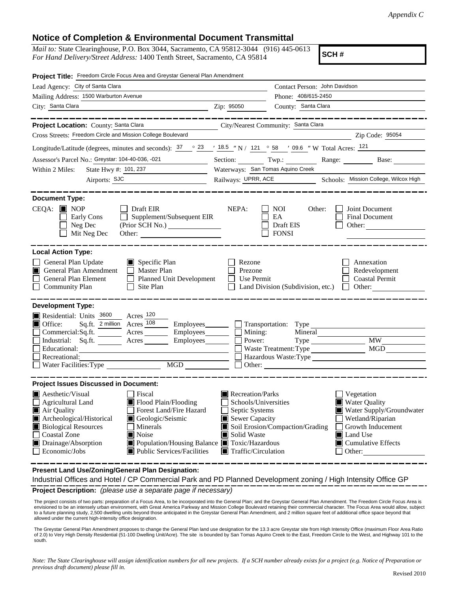## **Notice of Completion & Environmental Document Transmittal**

*Mail to:* State Clearinghouse, P.O. Box 3044, Sacramento, CA 95812-3044 (916) 445-0613 *For Hand Delivery/Street Address:* 1400 Tenth Street, Sacramento, CA 95814

**SCH #**

| Project Title: Freedom Circle Focus Area and Greystar General Plan Amendment                                                                                                                                                                                                                                                                                                                              |                                                                                                                                                                                                                                                                                                                                                         |
|-----------------------------------------------------------------------------------------------------------------------------------------------------------------------------------------------------------------------------------------------------------------------------------------------------------------------------------------------------------------------------------------------------------|---------------------------------------------------------------------------------------------------------------------------------------------------------------------------------------------------------------------------------------------------------------------------------------------------------------------------------------------------------|
| Lead Agency: City of Santa Clara                                                                                                                                                                                                                                                                                                                                                                          | Contact Person: John Davidson                                                                                                                                                                                                                                                                                                                           |
| Mailing Address: 1500 Warburton Avenue                                                                                                                                                                                                                                                                                                                                                                    | Phone: 408/615-2450                                                                                                                                                                                                                                                                                                                                     |
| City: Santa Clara                                                                                                                                                                                                                                                                                                                                                                                         | County: Santa Clara<br>Zip: 95050                                                                                                                                                                                                                                                                                                                       |
|                                                                                                                                                                                                                                                                                                                                                                                                           |                                                                                                                                                                                                                                                                                                                                                         |
| Project Location: County: Santa Clara                                                                                                                                                                                                                                                                                                                                                                     | City/Nearest Community: Santa Clara                                                                                                                                                                                                                                                                                                                     |
| Cross Streets: Freedom Circle and Mission College Boulevard                                                                                                                                                                                                                                                                                                                                               | Zip Code: 95054                                                                                                                                                                                                                                                                                                                                         |
|                                                                                                                                                                                                                                                                                                                                                                                                           | Longitude/Latitude (degrees, minutes and seconds): $\frac{37}{23}$ $\frac{23}{18.5}$ $\frac{18.5}{2}$ N / $\frac{121}{21}$ $\frac{0.6}{58}$ N Total Acres: $\frac{121}{21}$                                                                                                                                                                             |
| Assessor's Parcel No.: Greystar: 104-40-036, -021<br>$\overline{\phantom{a}}$ . The set of $\overline{\phantom{a}}$                                                                                                                                                                                                                                                                                       | Section: Twp.: Range: Base:                                                                                                                                                                                                                                                                                                                             |
| State Hwy #: 101, 237<br>Within 2 Miles:                                                                                                                                                                                                                                                                                                                                                                  | Waterways: San Tomas Aquino Creek                                                                                                                                                                                                                                                                                                                       |
| Airports: SJC                                                                                                                                                                                                                                                                                                                                                                                             | Railways: UPRR, ACE Schools: Mission College, Wilcox High                                                                                                                                                                                                                                                                                               |
| <b>Document Type:</b><br>$CEQA:$ MOP<br>$\Box$ Draft EIR<br>Supplement/Subsequent EIR<br>Early Cons<br>Neg Dec<br>(Prior SCH No.) ________________<br>Mit Neg Dec                                                                                                                                                                                                                                         | NEPA:<br>Joint Document<br><b>NOI</b><br>Other:<br>EA<br><b>Final Document</b><br>Draft EIS<br>Other: $\qquad \qquad$<br><b>FONSI</b>                                                                                                                                                                                                                   |
| <b>Local Action Type:</b><br>General Plan Update<br>$\Box$ Specific Plan<br>General Plan Amendment<br>$\Box$ Master Plan<br>П<br>General Plan Element<br>Planned Unit Development<br>Community Plan<br>Site Plan                                                                                                                                                                                          | Rezone<br>Annexation<br>Prezone<br>Redevelopment<br>Use Permit<br><b>Coastal Permit</b><br>Other:<br>Land Division (Subdivision, etc.)                                                                                                                                                                                                                  |
| <b>Development Type:</b><br>Residential: Units 3600<br>Acres 120<br>Sq.ft. 2 million Acres 108<br>■ Office:<br>$Commercial:Sq.fit.$ $\overline{\qquad}$ Acres<br>Acres<br>Industrial: Sq.ft.<br>Educational:<br>Recreational:<br>MGD NGD<br>Water Facilities: Type                                                                                                                                        | Employees Transportation: Type<br>$Employees$ $\Box$ Mining:<br>Mineral<br><b>MW</b><br>Power:<br><b>MGD</b><br>Waste Treatment: Type<br>Hazardous Waste: Type<br>$\Box$ Other: $\Box$                                                                                                                                                                  |
| <b>Project Issues Discussed in Document:</b>                                                                                                                                                                                                                                                                                                                                                              |                                                                                                                                                                                                                                                                                                                                                         |
| $\blacksquare$ Aesthetic/Visual<br>Fiscal<br>Flood Plain/Flooding<br>$\Box$ Agricultural Land<br>Forest Land/Fire Hazard<br>Air Quality<br>Archeological/Historical<br>Geologic/Seismic<br><b>Biological Resources</b><br>Minerals<br><b>Coastal Zone</b><br>$\blacksquare$ Noise<br>Drainage/Absorption<br>■ Population/Housing Balance ■ Toxic/Hazardous<br>Public Services/Facilities<br>Economic/Jobs | $\blacksquare$ Recreation/Parks<br>Vegetation<br>Water Quality<br>Schools/Universities<br>Septic Systems<br>Water Supply/Groundwater<br>Sewer Capacity<br>Wetland/Riparian<br>Soil Erosion/Compaction/Grading<br>Growth Inducement<br>Solid Waste<br>Land Use<br>ш<br>$\blacksquare$ Cumulative Effects<br>$\blacksquare$ Traffic/Circulation<br>Other: |

**Present Land Use/Zoning/General Plan Designation:**

**Project Description:** *(please use a separate page if necessary)* Industrial Offices and Hotel / CP Commercial Park and PD Planned Development zoning / High Intensity Office GP

 The project consists of two parts: preparation of a Focus Area, to be incorporated into the General Plan; and the Greystar General Plan Amendment. The Freedom Circle Focus Area is envisioned to be an intensely urban environment, with Great America Parkway and Mission College Boulevard retaining their commercial character. The Focus Area would allow, subject to a future planning study, 2,500 dwelling units beyond those anticipated in the Greystar General Plan Amendment, and 2 million square feet of additional office space beyond that allowed under the current high-intensity office designation.

The Greystar General Plan Amendment proposes to change the General Plan land use designation for the 13.3 acre Greystar site from High Intensity Office (maximum Floor Area Ratio of 2.0) to Very High Density Residential (51-100 Dwelling Unit/Acre). The site is bounded by San Tomas Aquino Creek to the East, Freedom Circle to the West, and Highway 101 to the south.

*Note: The State Clearinghouse will assign identification numbers for all new projects. If a SCH number already exists for a project (e.g. Notice of Preparation or previous draft document) please fill in.*